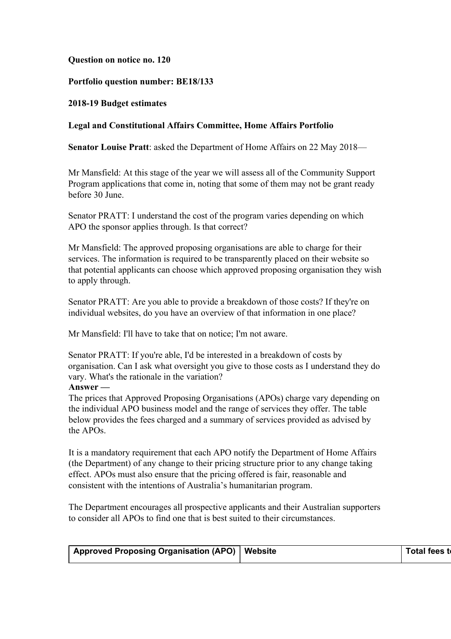## **Question on notice no. 120**

## **Portfolio question number: BE18/133**

## **2018-19 Budget estimates**

## **Legal and Constitutional Affairs Committee, Home Affairs Portfolio**

**Senator Louise Pratt**: asked the Department of Home Affairs on 22 May 2018—

Mr Mansfield: At this stage of the year we will assess all of the Community Support Program applications that come in, noting that some of them may not be grant ready before 30 June.

Senator PRATT: I understand the cost of the program varies depending on which APO the sponsor applies through. Is that correct?

Mr Mansfield: The approved proposing organisations are able to charge for their services. The information is required to be transparently placed on their website so that potential applicants can choose which approved proposing organisation they wish to apply through.

Senator PRATT: Are you able to provide a breakdown of those costs? If they're on individual websites, do you have an overview of that information in one place?

Mr Mansfield: I'll have to take that on notice; I'm not aware.

Senator PRATT: If you're able, I'd be interested in a breakdown of costs by organisation. Can I ask what oversight you give to those costs as I understand they do vary. What's the rationale in the variation?

# **Answer —**

The prices that Approved Proposing Organisations (APOs) charge vary depending on the individual APO business model and the range of services they offer. The table below provides the fees charged and a summary of services provided as advised by the APOs.

It is a mandatory requirement that each APO notify the Department of Home Affairs (the Department) of any change to their pricing structure prior to any change taking effect. APOs must also ensure that the pricing offered is fair, reasonable and consistent with the intentions of Australia's humanitarian program.

The Department encourages all prospective applicants and their Australian supporters to consider all APOs to find one that is best suited to their circumstances.